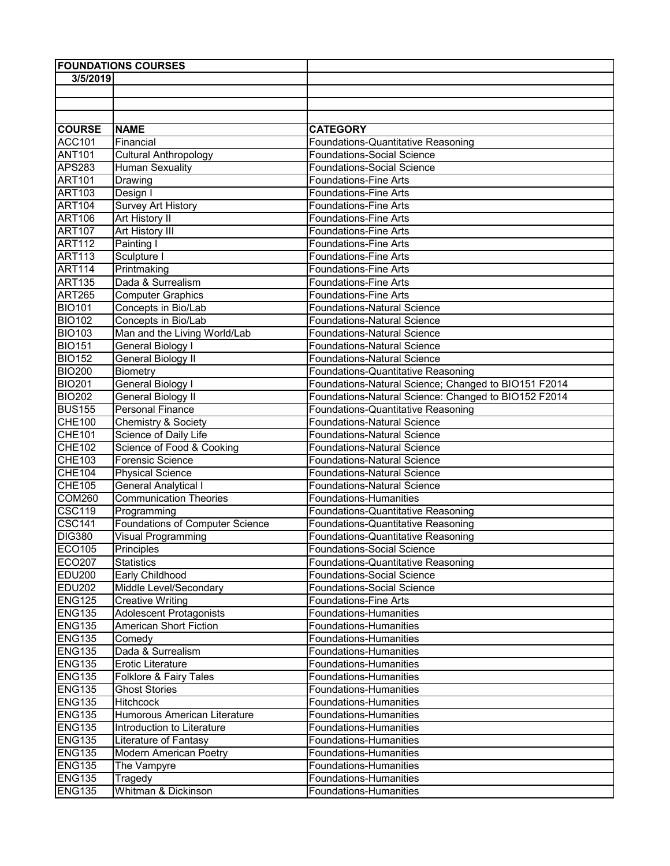| <b>FOUNDATIONS COURSES</b> |                                        |                                                      |
|----------------------------|----------------------------------------|------------------------------------------------------|
| 3/5/2019                   |                                        |                                                      |
|                            |                                        |                                                      |
|                            |                                        |                                                      |
|                            |                                        |                                                      |
| <b>COURSE</b>              | <b>NAME</b>                            | <b>CATEGORY</b>                                      |
| <b>ACC101</b>              | Financial                              | Foundations-Quantitative Reasoning                   |
| <b>ANT101</b>              | <b>Cultural Anthropology</b>           | Foundations-Social Science                           |
| <b>APS283</b>              | <b>Human Sexuality</b>                 | <b>Foundations-Social Science</b>                    |
| <b>ART101</b>              | Drawing                                | <b>Foundations-Fine Arts</b>                         |
| <b>ART103</b>              | Design I                               | <b>Foundations-Fine Arts</b>                         |
| <b>ART104</b>              | <b>Survey Art History</b>              | <b>Foundations-Fine Arts</b>                         |
| <b>ART106</b>              | Art History II                         | <b>Foundations-Fine Arts</b>                         |
| <b>ART107</b>              | Art History III                        | <b>Foundations-Fine Arts</b>                         |
| <b>ART112</b>              | Painting I                             | <b>Foundations-Fine Arts</b>                         |
| <b>ART113</b>              | Sculpture I                            | <b>Foundations-Fine Arts</b>                         |
| <b>ART114</b>              | Printmaking                            | <b>Foundations-Fine Arts</b>                         |
| <b>ART135</b>              | Dada & Surrealism                      | <b>Foundations-Fine Arts</b>                         |
| <b>ART265</b>              | <b>Computer Graphics</b>               | <b>Foundations-Fine Arts</b>                         |
| <b>BIO101</b>              | Concepts in Bio/Lab                    | <b>Foundations-Natural Science</b>                   |
| <b>BIO102</b>              | Concepts in Bio/Lab                    | <b>Foundations-Natural Science</b>                   |
| <b>BIO103</b>              | Man and the Living World/Lab           | <b>Foundations-Natural Science</b>                   |
| <b>BIO151</b>              | General Biology I                      | <b>Foundations-Natural Science</b>                   |
| <b>BIO152</b>              | General Biology II                     | <b>Foundations-Natural Science</b>                   |
| <b>BIO200</b>              | Biometry                               | Foundations-Quantitative Reasoning                   |
| <b>BIO201</b>              | <b>General Biology I</b>               | Foundations-Natural Science; Changed to BIO151 F2014 |
| <b>BIO202</b>              | <b>General Biology II</b>              | Foundations-Natural Science: Changed to BIO152 F2014 |
| <b>BUS155</b>              | <b>Personal Finance</b>                | Foundations-Quantitative Reasoning                   |
| <b>CHE100</b>              | Chemistry & Society                    | <b>Foundations-Natural Science</b>                   |
| <b>CHE101</b>              | Science of Daily Life                  | <b>Foundations-Natural Science</b>                   |
| <b>CHE102</b>              | Science of Food & Cooking              | <b>Foundations-Natural Science</b>                   |
| <b>CHE103</b>              | Forensic Science                       | <b>Foundations-Natural Science</b>                   |
| <b>CHE104</b>              | <b>Physical Science</b>                | <b>Foundations-Natural Science</b>                   |
| <b>CHE105</b>              | <b>General Analytical I</b>            | <b>Foundations-Natural Science</b>                   |
| <b>COM260</b>              | <b>Communication Theories</b>          | <b>Foundations-Humanities</b>                        |
| <b>CSC119</b>              | Programming                            | Foundations-Quantitative Reasoning                   |
| <b>CSC141</b>              | <b>Foundations of Computer Science</b> | Foundations-Quantitative Reasoning                   |
| <b>DIG380</b>              | <b>Visual Programming</b>              | Foundations-Quantitative Reasoning                   |
| ECO105                     | <b>Principles</b>                      | <b>Foundations-Social Science</b>                    |
| <b>ECO207</b>              | <b>Statistics</b>                      | Foundations-Quantitative Reasoning                   |
| <b>EDU200</b>              | Early Childhood                        | <b>Foundations-Social Science</b>                    |
| <b>EDU202</b>              | Middle Level/Secondary                 | <b>Foundations-Social Science</b>                    |
| <b>ENG125</b>              | <b>Creative Writing</b>                | Foundations-Fine Arts                                |
| <b>ENG135</b>              | Adolescent Protagonists                | Foundations-Humanities                               |
| <b>ENG135</b>              | <b>American Short Fiction</b>          | Foundations-Humanities                               |
| <b>ENG135</b>              | Comedy                                 | Foundations-Humanities                               |
| <b>ENG135</b>              | Dada & Surrealism                      | Foundations-Humanities                               |
| <b>ENG135</b>              | <b>Erotic Literature</b>               | Foundations-Humanities                               |
| <b>ENG135</b>              | Folklore & Fairy Tales                 | Foundations-Humanities                               |
| <b>ENG135</b>              | <b>Ghost Stories</b>                   | Foundations-Humanities                               |
| <b>ENG135</b>              | <b>Hitchcock</b>                       | Foundations-Humanities                               |
| <b>ENG135</b>              | Humorous American Literature           | Foundations-Humanities                               |
| <b>ENG135</b>              | Introduction to Literature             | Foundations-Humanities                               |
| <b>ENG135</b>              | Literature of Fantasy                  | Foundations-Humanities                               |
| <b>ENG135</b>              | <b>Modern American Poetry</b>          | Foundations-Humanities                               |
| <b>ENG135</b>              | The Vampyre                            | Foundations-Humanities                               |
| <b>ENG135</b>              | Tragedy                                | Foundations-Humanities                               |
| <b>ENG135</b>              | Whitman & Dickinson                    | Foundations-Humanities                               |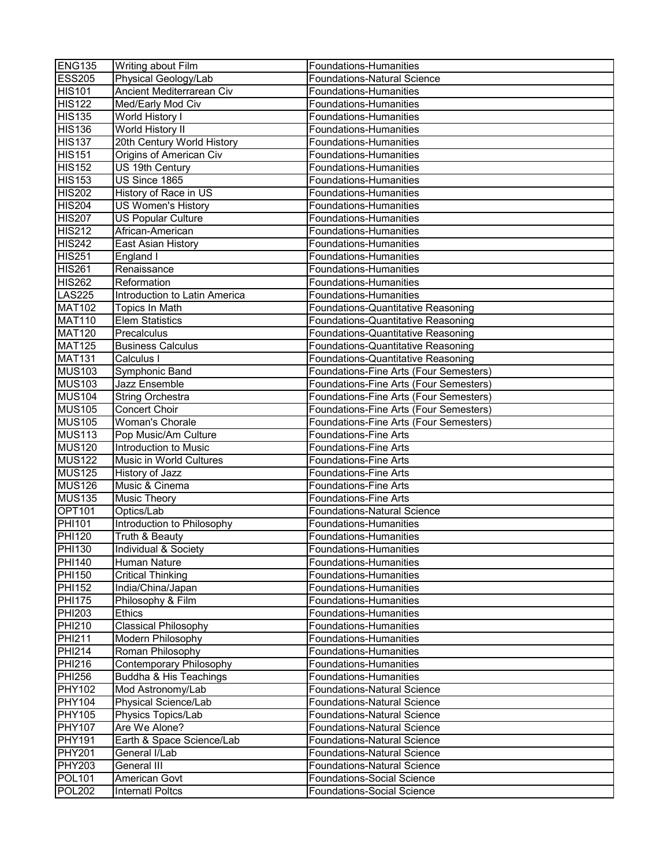| <b>ENG135</b> | Writing about Film            | Foundations-Humanities                 |
|---------------|-------------------------------|----------------------------------------|
| <b>ESS205</b> | Physical Geology/Lab          | <b>Foundations-Natural Science</b>     |
| <b>HIS101</b> | Ancient Mediterrarean Civ     | Foundations-Humanities                 |
| <b>HIS122</b> | Med/Early Mod Civ             | Foundations-Humanities                 |
| <b>HIS135</b> | World History I               | Foundations-Humanities                 |
| <b>HIS136</b> | <b>World History II</b>       | Foundations-Humanities                 |
| <b>HIS137</b> | 20th Century World History    | Foundations-Humanities                 |
| <b>HIS151</b> | Origins of American Civ       | Foundations-Humanities                 |
| <b>HIS152</b> | US 19th Century               | Foundations-Humanities                 |
| <b>HIS153</b> | US Since 1865                 | Foundations-Humanities                 |
| <b>HIS202</b> | History of Race in US         | Foundations-Humanities                 |
| <b>HIS204</b> | US Women's History            | <b>Foundations-Humanities</b>          |
| <b>HIS207</b> | <b>US Popular Culture</b>     | <b>Foundations-Humanities</b>          |
| <b>HIS212</b> | African-American              | <b>Foundations-Humanities</b>          |
| <b>HIS242</b> | East Asian History            | Foundations-Humanities                 |
| <b>HIS251</b> | England I                     | <b>Foundations-Humanities</b>          |
| <b>HIS261</b> | Renaissance                   | Foundations-Humanities                 |
| <b>HIS262</b> | Reformation                   | <b>Foundations-Humanities</b>          |
| <b>LAS225</b> | Introduction to Latin America | Foundations-Humanities                 |
| <b>MAT102</b> | Topics In Math                | Foundations-Quantitative Reasoning     |
| <b>MAT110</b> | <b>Elem Statistics</b>        | Foundations-Quantitative Reasoning     |
| <b>MAT120</b> | Precalculus                   | Foundations-Quantitative Reasoning     |
| <b>MAT125</b> | <b>Business Calculus</b>      | Foundations-Quantitative Reasoning     |
| <b>MAT131</b> | Calculus I                    | Foundations-Quantitative Reasoning     |
| <b>MUS103</b> | Symphonic Band                | Foundations-Fine Arts (Four Semesters) |
| <b>MUS103</b> | <b>Jazz Ensemble</b>          | Foundations-Fine Arts (Four Semesters) |
| <b>MUS104</b> | <b>String Orchestra</b>       | Foundations-Fine Arts (Four Semesters) |
| <b>MUS105</b> | <b>Concert Choir</b>          | Foundations-Fine Arts (Four Semesters) |
| <b>MUS105</b> | Woman's Chorale               | Foundations-Fine Arts (Four Semesters) |
| <b>MUS113</b> | Pop Music/Am Culture          | <b>Foundations-Fine Arts</b>           |
| <b>MUS120</b> | Introduction to Music         | <b>Foundations-Fine Arts</b>           |
| <b>MUS122</b> | Music in World Cultures       | <b>Foundations-Fine Arts</b>           |
| <b>MUS125</b> | History of Jazz               | <b>Foundations-Fine Arts</b>           |
| <b>MUS126</b> | Music & Cinema                | <b>Foundations-Fine Arts</b>           |
| <b>MUS135</b> | <b>Music Theory</b>           | <b>Foundations-Fine Arts</b>           |
| <b>OPT101</b> | Optics/Lab                    | <b>Foundations-Natural Science</b>     |
| <b>PHI101</b> | Introduction to Philosophy    | Foundations-Humanities                 |
| <b>PHI120</b> | Truth & Beauty                | Foundations-Humanities                 |
| <b>PHI130</b> | Individual & Society          | Foundations-Humanities                 |
| <b>PHI140</b> | Human Nature                  | Foundations-Humanities                 |
| <b>PHI150</b> | <b>Critical Thinking</b>      | <b>Foundations-Humanities</b>          |
| <b>PHI152</b> | India/China/Japan             | Foundations-Humanities                 |
| <b>PHI175</b> | Philosophy & Film             | Foundations-Humanities                 |
| <b>PHI203</b> | Ethics                        | Foundations-Humanities                 |
| <b>PHI210</b> | <b>Classical Philosophy</b>   | <b>Foundations-Humanities</b>          |
| <b>PHI211</b> | Modern Philosophy             | Foundations-Humanities                 |
| <b>PHI214</b> | Roman Philosophy              | <b>Foundations-Humanities</b>          |
| <b>PHI216</b> | Contemporary Philosophy       | Foundations-Humanities                 |
| <b>PHI256</b> | Buddha & His Teachings        | <b>Foundations-Humanities</b>          |
| <b>PHY102</b> | Mod Astronomy/Lab             | <b>Foundations-Natural Science</b>     |
| <b>PHY104</b> | Physical Science/Lab          | <b>Foundations-Natural Science</b>     |
| <b>PHY105</b> | Physics Topics/Lab            | <b>Foundations-Natural Science</b>     |
| <b>PHY107</b> | Are We Alone?                 | <b>Foundations-Natural Science</b>     |
| <b>PHY191</b> | Earth & Space Science/Lab     | <b>Foundations-Natural Science</b>     |
| <b>PHY201</b> | General I/Lab                 | <b>Foundations-Natural Science</b>     |
| <b>PHY203</b> | General III                   | <b>Foundations-Natural Science</b>     |
| <b>POL101</b> | American Govt                 | Foundations-Social Science             |
| <b>POL202</b> | <b>Internatl Poltcs</b>       | <b>Foundations-Social Science</b>      |